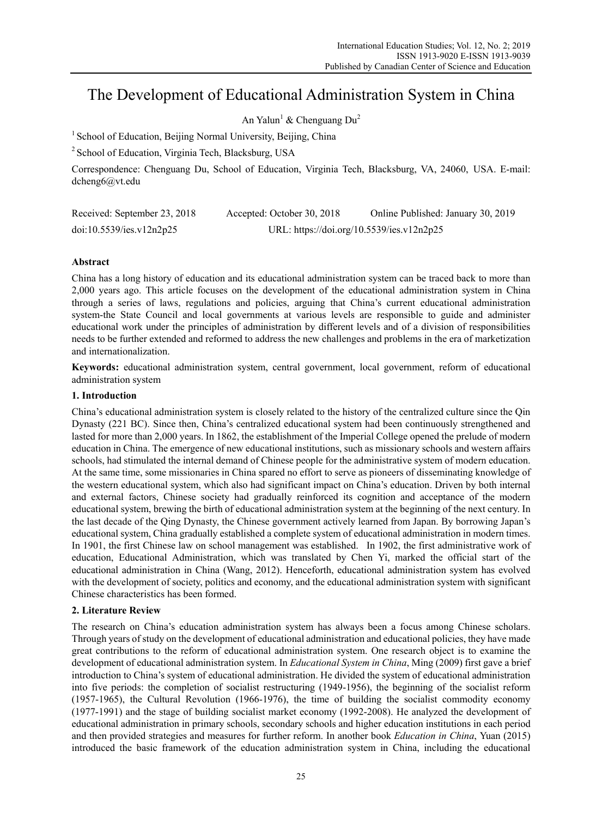# The Development of Educational Administration System in China

An Yalun<sup>1</sup> & Chenguang Du<sup>2</sup>

<sup>1</sup> School of Education. Beijing Normal University, Beijing, China

2 School of Education, Virginia Tech, Blacksburg, USA

Correspondence: Chenguang Du, School of Education, Virginia Tech, Blacksburg, VA, 24060, USA. E-mail: dcheng6@vt.edu

| Received: September 23, 2018 | Accepted: October 30, 2018                | Online Published: January 30, 2019 |
|------------------------------|-------------------------------------------|------------------------------------|
| doi:10.5539/ies.v12n2p25     | URL: https://doi.org/10.5539/ies.v12n2p25 |                                    |

# **Abstract**

China has a long history of education and its educational administration system can be traced back to more than 2,000 years ago. This article focuses on the development of the educational administration system in China through a series of laws, regulations and policies, arguing that China's current educational administration system-the State Council and local governments at various levels are responsible to guide and administer educational work under the principles of administration by different levels and of a division of responsibilities needs to be further extended and reformed to address the new challenges and problems in the era of marketization and internationalization.

**Keywords:** educational administration system, central government, local government, reform of educational administration system

# **1. Introduction**

China's educational administration system is closely related to the history of the centralized culture since the Qin Dynasty (221 BC). Since then, China's centralized educational system had been continuously strengthened and lasted for more than 2,000 years. In 1862, the establishment of the Imperial College opened the prelude of modern education in China. The emergence of new educational institutions, such as missionary schools and western affairs schools, had stimulated the internal demand of Chinese people for the administrative system of modern education. At the same time, some missionaries in China spared no effort to serve as pioneers of disseminating knowledge of the western educational system, which also had significant impact on China's education. Driven by both internal and external factors, Chinese society had gradually reinforced its cognition and acceptance of the modern educational system, brewing the birth of educational administration system at the beginning of the next century. In the last decade of the Qing Dynasty, the Chinese government actively learned from Japan. By borrowing Japan's educational system, China gradually established a complete system of educational administration in modern times. In 1901, the first Chinese law on school management was established. In 1902, the first administrative work of education, Educational Administration, which was translated by Chen Yi, marked the official start of the educational administration in China (Wang, 2012). Henceforth, educational administration system has evolved with the development of society, politics and economy, and the educational administration system with significant Chinese characteristics has been formed.

# **2. Literature Review**

The research on China's education administration system has always been a focus among Chinese scholars. Through years of study on the development of educational administration and educational policies, they have made great contributions to the reform of educational administration system. One research object is to examine the development of educational administration system. In *Educational System in China*, Ming (2009) first gave a brief introduction to China's system of educational administration. He divided the system of educational administration into five periods: the completion of socialist restructuring (1949-1956), the beginning of the socialist reform (1957-1965), the Cultural Revolution (1966-1976), the time of building the socialist commodity economy (1977-1991) and the stage of building socialist market economy (1992-2008). He analyzed the development of educational administration in primary schools, secondary schools and higher education institutions in each period and then provided strategies and measures for further reform. In another book *Education in China*, Yuan (2015) introduced the basic framework of the education administration system in China, including the educational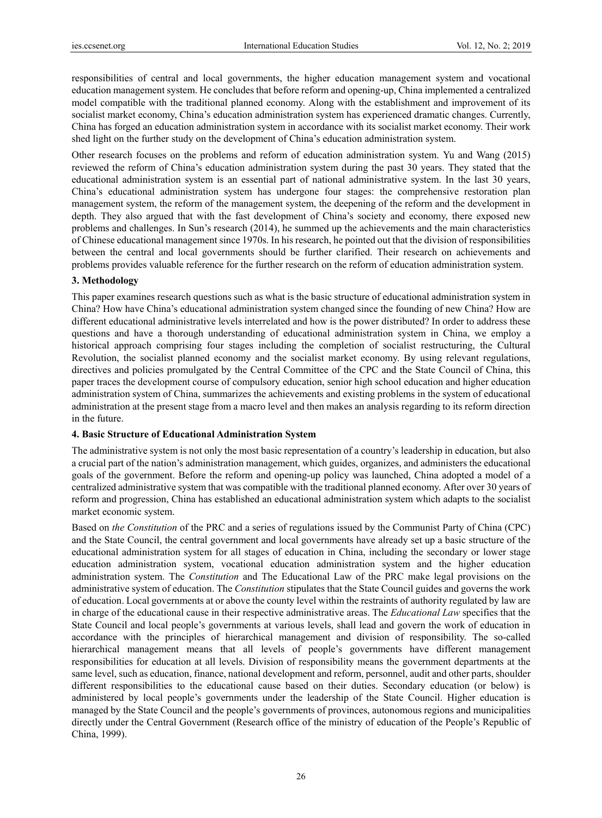responsibilities of central and local governments, the higher education management system and vocational education management system. He concludes that before reform and opening-up, China implemented a centralized model compatible with the traditional planned economy. Along with the establishment and improvement of its socialist market economy, China's education administration system has experienced dramatic changes. Currently, China has forged an education administration system in accordance with its socialist market economy. Their work shed light on the further study on the development of China's education administration system.

Other research focuses on the problems and reform of education administration system. Yu and Wang (2015) reviewed the reform of China's education administration system during the past 30 years. They stated that the educational administration system is an essential part of national administrative system. In the last 30 years, China's educational administration system has undergone four stages: the comprehensive restoration plan management system, the reform of the management system, the deepening of the reform and the development in depth. They also argued that with the fast development of China's society and economy, there exposed new problems and challenges. In Sun's research (2014), he summed up the achievements and the main characteristics of Chinese educational management since 1970s. In his research, he pointed out that the division of responsibilities between the central and local governments should be further clarified. Their research on achievements and problems provides valuable reference for the further research on the reform of education administration system.

## **3. Methodology**

This paper examines research questions such as what is the basic structure of educational administration system in China? How have China's educational administration system changed since the founding of new China? How are different educational administrative levels interrelated and how is the power distributed? In order to address these questions and have a thorough understanding of educational administration system in China, we employ a historical approach comprising four stages including the completion of socialist restructuring, the Cultural Revolution, the socialist planned economy and the socialist market economy. By using relevant regulations, directives and policies promulgated by the Central Committee of the CPC and the State Council of China, this paper traces the development course of compulsory education, senior high school education and higher education administration system of China, summarizes the achievements and existing problems in the system of educational administration at the present stage from a macro level and then makes an analysis regarding to its reform direction in the future.

## **4. Basic Structure of Educational Administration System**

The administrative system is not only the most basic representation of a country's leadership in education, but also a crucial part of the nation's administration management, which guides, organizes, and administers the educational goals of the government. Before the reform and opening-up policy was launched, China adopted a model of a centralized administrative system that was compatible with the traditional planned economy. After over 30 years of reform and progression, China has established an educational administration system which adapts to the socialist market economic system.

Based on *the Constitution* of the PRC and a series of regulations issued by the Communist Party of China (CPC) and the State Council, the central government and local governments have already set up a basic structure of the educational administration system for all stages of education in China, including the secondary or lower stage education administration system, vocational education administration system and the higher education administration system. The *Constitution* and The Educational Law of the PRC make legal provisions on the administrative system of education. The *Constitution* stipulates that the State Council guides and governs the work of education. Local governments at or above the county level within the restraints of authority regulated by law are in charge of the educational cause in their respective administrative areas. The *Educational Law* specifies that the State Council and local people's governments at various levels, shall lead and govern the work of education in accordance with the principles of hierarchical management and division of responsibility. The so-called hierarchical management means that all levels of people's governments have different management responsibilities for education at all levels. Division of responsibility means the government departments at the same level, such as education, finance, national development and reform, personnel, audit and other parts, shoulder different responsibilities to the educational cause based on their duties. Secondary education (or below) is administered by local people's governments under the leadership of the State Council. Higher education is managed by the State Council and the people's governments of provinces, autonomous regions and municipalities directly under the Central Government (Research office of the ministry of education of the People's Republic of China, 1999).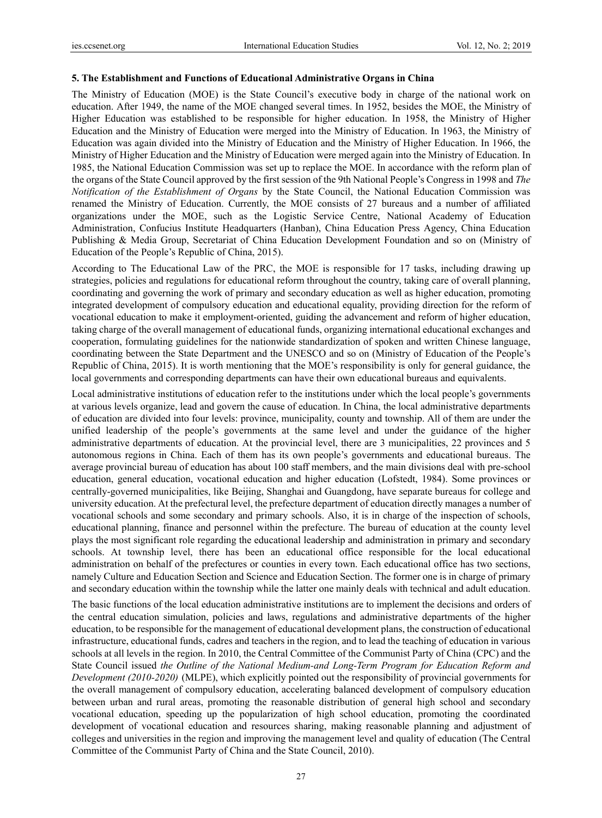## **5. The Establishment and Functions of Educational Administrative Organs in China**

The Ministry of Education (MOE) is the State Council's executive body in charge of the national work on education. After 1949, the name of the MOE changed several times. In 1952, besides the MOE, the Ministry of Higher Education was established to be responsible for higher education. In 1958, the Ministry of Higher Education and the Ministry of Education were merged into the Ministry of Education. In 1963, the Ministry of Education was again divided into the Ministry of Education and the Ministry of Higher Education. In 1966, the Ministry of Higher Education and the Ministry of Education were merged again into the Ministry of Education. In 1985, the National Education Commission was set up to replace the MOE. In accordance with the reform plan of the organs of the State Council approved by the first session of the 9th National People's Congress in 1998 and *The Notification of the Establishment of Organs* by the State Council, the National Education Commission was renamed the Ministry of Education. Currently, the MOE consists of 27 bureaus and a number of affiliated organizations under the MOE, such as the Logistic Service Centre, National Academy of Education Administration, Confucius Institute Headquarters (Hanban), China Education Press Agency, China Education Publishing & Media Group, Secretariat of China Education Development Foundation and so on (Ministry of Education of the People's Republic of China, 2015).

According to The Educational Law of the PRC, the MOE is responsible for 17 tasks, including drawing up strategies, policies and regulations for educational reform throughout the country, taking care of overall planning, coordinating and governing the work of primary and secondary education as well as higher education, promoting integrated development of compulsory education and educational equality, providing direction for the reform of vocational education to make it employment-oriented, guiding the advancement and reform of higher education, taking charge of the overall management of educational funds, organizing international educational exchanges and cooperation, formulating guidelines for the nationwide standardization of spoken and written Chinese language, coordinating between the State Department and the UNESCO and so on (Ministry of Education of the People's Republic of China, 2015). It is worth mentioning that the MOE's responsibility is only for general guidance, the local governments and corresponding departments can have their own educational bureaus and equivalents.

Local administrative institutions of education refer to the institutions under which the local people's governments at various levels organize, lead and govern the cause of education. In China, the local administrative departments of education are divided into four levels: province, municipality, county and township. All of them are under the unified leadership of the people's governments at the same level and under the guidance of the higher administrative departments of education. At the provincial level, there are 3 municipalities, 22 provinces and 5 autonomous regions in China. Each of them has its own people's governments and educational bureaus. The average provincial bureau of education has about 100 staff members, and the main divisions deal with pre-school education, general education, vocational education and higher education (Lofstedt, 1984). Some provinces or centrally-governed municipalities, like Beijing, Shanghai and Guangdong, have separate bureaus for college and university education. At the prefectural level, the prefecture department of education directly manages a number of vocational schools and some secondary and primary schools. Also, it is in charge of the inspection of schools, educational planning, finance and personnel within the prefecture. The bureau of education at the county level plays the most significant role regarding the educational leadership and administration in primary and secondary schools. At township level, there has been an educational office responsible for the local educational administration on behalf of the prefectures or counties in every town. Each educational office has two sections, namely Culture and Education Section and Science and Education Section. The former one is in charge of primary and secondary education within the township while the latter one mainly deals with technical and adult education.

The basic functions of the local education administrative institutions are to implement the decisions and orders of the central education simulation, policies and laws, regulations and administrative departments of the higher education, to be responsible for the management of educational development plans, the construction of educational infrastructure, educational funds, cadres and teachers in the region, and to lead the teaching of education in various schools at all levels in the region. In 2010, the Central Committee of the Communist Party of China (CPC) and the State Council issued *the Outline of the National Medium-and Long-Term Program for Education Reform and Development (2010-2020)* (MLPE), which explicitly pointed out the responsibility of provincial governments for the overall management of compulsory education, accelerating balanced development of compulsory education between urban and rural areas, promoting the reasonable distribution of general high school and secondary vocational education, speeding up the popularization of high school education, promoting the coordinated development of vocational education and resources sharing, making reasonable planning and adjustment of colleges and universities in the region and improving the management level and quality of education (The Central Committee of the Communist Party of China and the State Council, 2010).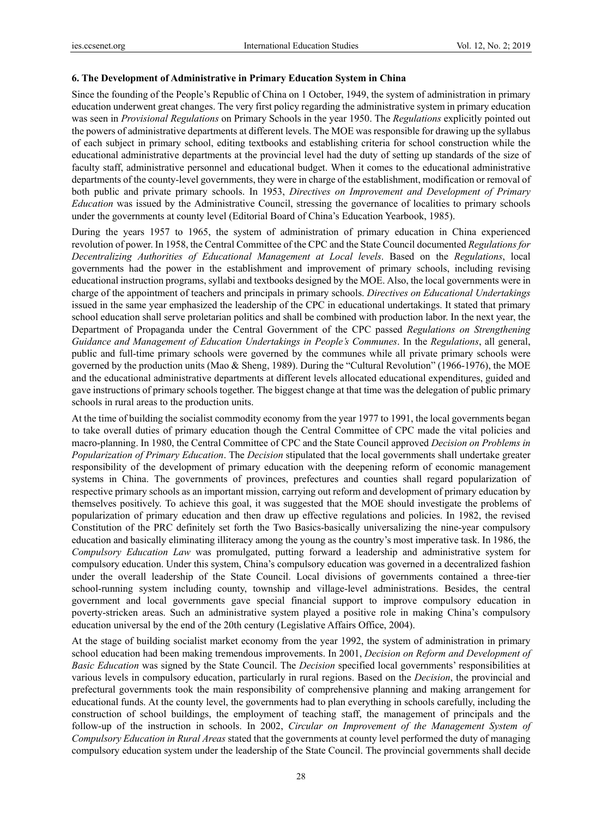## **6. The Development of Administrative in Primary Education System in China**

Since the founding of the People's Republic of China on 1 October, 1949, the system of administration in primary education underwent great changes. The very first policy regarding the administrative system in primary education was seen in *Provisional Regulations* on Primary Schools in the year 1950. The *Regulations* explicitly pointed out the powers of administrative departments at different levels. The MOE was responsible for drawing up the syllabus of each subject in primary school, editing textbooks and establishing criteria for school construction while the educational administrative departments at the provincial level had the duty of setting up standards of the size of faculty staff, administrative personnel and educational budget. When it comes to the educational administrative departments of the county-level governments, they were in charge of the establishment, modification or removal of both public and private primary schools. In 1953, *Directives on Improvement and Development of Primary Education* was issued by the Administrative Council, stressing the governance of localities to primary schools under the governments at county level (Editorial Board of China's Education Yearbook, 1985).

During the years 1957 to 1965, the system of administration of primary education in China experienced revolution of power. In 1958, the Central Committee of the CPC and the State Council documented *Regulations for Decentralizing Authorities of Educational Management at Local levels*. Based on the *Regulations*, local governments had the power in the establishment and improvement of primary schools, including revising educational instruction programs, syllabi and textbooks designed by the MOE. Also, the local governments were in charge of the appointment of teachers and principals in primary schools. *Directives on Educational Undertakings*  issued in the same year emphasized the leadership of the CPC in educational undertakings. It stated that primary school education shall serve proletarian politics and shall be combined with production labor. In the next year, the Department of Propaganda under the Central Government of the CPC passed *Regulations on Strengthening Guidance and Management of Education Undertakings in People's Communes*. In the *Regulations*, all general, public and full-time primary schools were governed by the communes while all private primary schools were governed by the production units (Mao & Sheng, 1989). During the "Cultural Revolution" (1966-1976), the MOE and the educational administrative departments at different levels allocated educational expenditures, guided and gave instructions of primary schools together. The biggest change at that time was the delegation of public primary schools in rural areas to the production units.

At the time of building the socialist commodity economy from the year 1977 to 1991, the local governments began to take overall duties of primary education though the Central Committee of CPC made the vital policies and macro-planning. In 1980, the Central Committee of CPC and the State Council approved *Decision on Problems in Popularization of Primary Education*. The *Decision* stipulated that the local governments shall undertake greater responsibility of the development of primary education with the deepening reform of economic management systems in China. The governments of provinces, prefectures and counties shall regard popularization of respective primary schools as an important mission, carrying out reform and development of primary education by themselves positively. To achieve this goal, it was suggested that the MOE should investigate the problems of popularization of primary education and then draw up effective regulations and policies. In 1982, the revised Constitution of the PRC definitely set forth the Two Basics-basically universalizing the nine-year compulsory education and basically eliminating illiteracy among the young as the country's most imperative task. In 1986, the *Compulsory Education Law* was promulgated, putting forward a leadership and administrative system for compulsory education. Under this system, China's compulsory education was governed in a decentralized fashion under the overall leadership of the State Council. Local divisions of governments contained a three-tier school-running system including county, township and village-level administrations. Besides, the central government and local governments gave special financial support to improve compulsory education in poverty-stricken areas. Such an administrative system played a positive role in making China's compulsory education universal by the end of the 20th century (Legislative Affairs Office, 2004).

At the stage of building socialist market economy from the year 1992, the system of administration in primary school education had been making tremendous improvements. In 2001, *Decision on Reform and Development of Basic Education* was signed by the State Council. The *Decision* specified local governments' responsibilities at various levels in compulsory education, particularly in rural regions. Based on the *Decision*, the provincial and prefectural governments took the main responsibility of comprehensive planning and making arrangement for educational funds. At the county level, the governments had to plan everything in schools carefully, including the construction of school buildings, the employment of teaching staff, the management of principals and the follow-up of the instruction in schools. In 2002, *Circular on Improvement of the Management System of Compulsory Education in Rural Areas* stated that the governments at county level performed the duty of managing compulsory education system under the leadership of the State Council. The provincial governments shall decide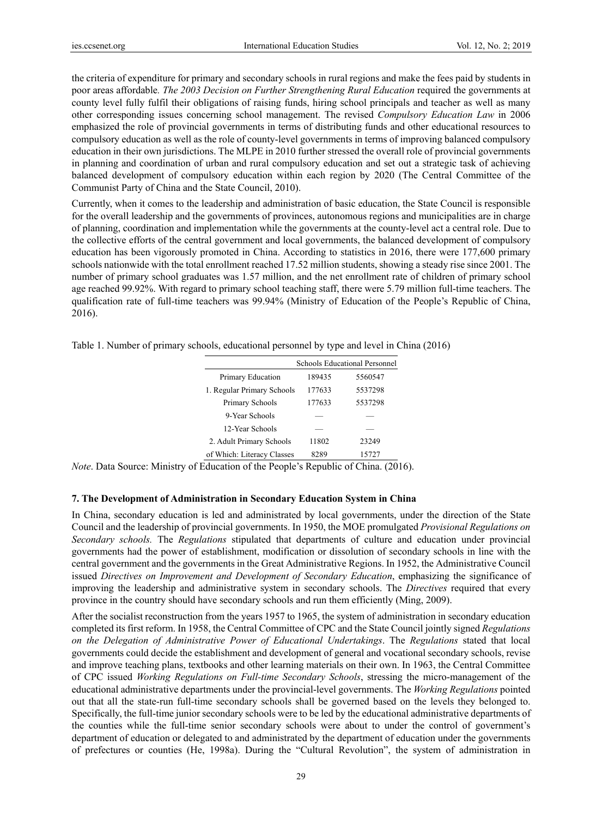the criteria of expenditure for primary and secondary schools in rural regions and make the fees paid by students in poor areas affordable*. The 2003 Decision on Further Strengthening Rural Education* required the governments at county level fully fulfil their obligations of raising funds, hiring school principals and teacher as well as many other corresponding issues concerning school management. The revised *Compulsory Education Law* in 2006 emphasized the role of provincial governments in terms of distributing funds and other educational resources to compulsory education as well as the role of county-level governments in terms of improving balanced compulsory education in their own jurisdictions. The MLPE in 2010 further stressed the overall role of provincial governments in planning and coordination of urban and rural compulsory education and set out a strategic task of achieving balanced development of compulsory education within each region by 2020 (The Central Committee of the Communist Party of China and the State Council, 2010).

Currently, when it comes to the leadership and administration of basic education, the State Council is responsible for the overall leadership and the governments of provinces, autonomous regions and municipalities are in charge of planning, coordination and implementation while the governments at the county-level act a central role. Due to the collective efforts of the central government and local governments, the balanced development of compulsory education has been vigorously promoted in China. According to statistics in 2016, there were 177,600 primary schools nationwide with the total enrollment reached 17.52 million students, showing a steady rise since 2001. The number of primary school graduates was 1.57 million, and the net enrollment rate of children of primary school age reached 99.92%. With regard to primary school teaching staff, there were 5.79 million full-time teachers. The qualification rate of full-time teachers was 99.94% (Ministry of Education of the People's Republic of China, 2016).

Table 1. Number of primary schools, educational personnel by type and level in China (2016)

| Schools Educational Personnel |        |         |  |
|-------------------------------|--------|---------|--|
| Primary Education             | 189435 | 5560547 |  |
| 1. Regular Primary Schools    | 177633 | 5537298 |  |
| Primary Schools               | 177633 | 5537298 |  |
| 9-Year Schools                |        |         |  |
| 12-Year Schools               |        |         |  |
| 2. Adult Primary Schools      | 11802  | 23249   |  |
| of Which: Literacy Classes    | 8289   | 15727   |  |
|                               |        |         |  |

*Note*. Data Source: Ministry of Education of the People's Republic of China. (2016).

## **7. The Development of Administration in Secondary Education System in China**

In China, secondary education is led and administrated by local governments, under the direction of the State Council and the leadership of provincial governments. In 1950, the MOE promulgated *Provisional Regulations on Secondary schools.* The *Regulations* stipulated that departments of culture and education under provincial governments had the power of establishment, modification or dissolution of secondary schools in line with the central government and the governments in the Great Administrative Regions. In 1952, the Administrative Council issued *Directives on Improvement and Development of Secondary Education*, emphasizing the significance of improving the leadership and administrative system in secondary schools. The *Directives* required that every province in the country should have secondary schools and run them efficiently (Ming, 2009).

After the socialist reconstruction from the years 1957 to 1965, the system of administration in secondary education completed its first reform. In 1958, the Central Committee of CPC and the State Council jointly signed *Regulations on the Delegation of Administrative Power of Educational Undertakings*. The *Regulations* stated that local governments could decide the establishment and development of general and vocational secondary schools, revise and improve teaching plans, textbooks and other learning materials on their own. In 1963, the Central Committee of CPC issued *Working Regulations on Full-time Secondary Schools*, stressing the micro-management of the educational administrative departments under the provincial-level governments. The *Working Regulations* pointed out that all the state-run full-time secondary schools shall be governed based on the levels they belonged to. Specifically, the full-time junior secondary schools were to be led by the educational administrative departments of the counties while the full-time senior secondary schools were about to under the control of government's department of education or delegated to and administrated by the department of education under the governments of prefectures or counties (He, 1998a). During the "Cultural Revolution", the system of administration in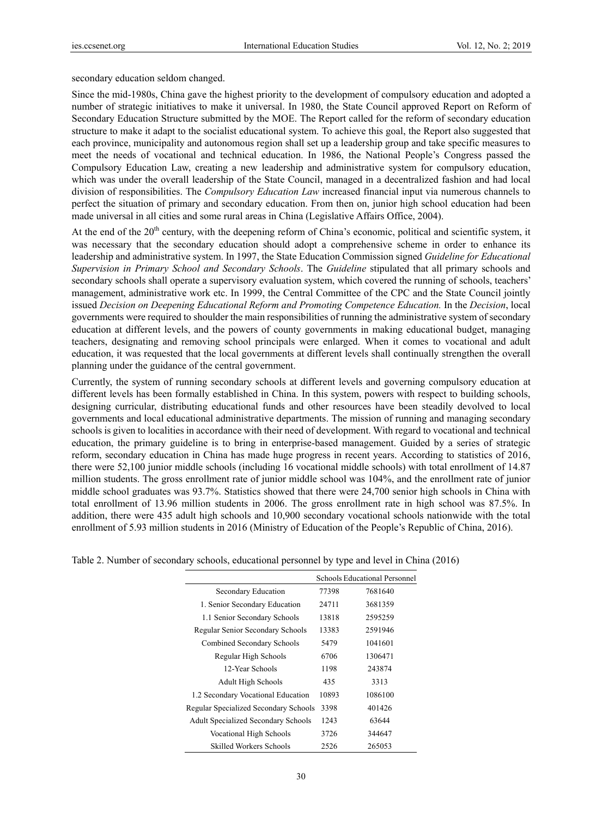secondary education seldom changed.

Since the mid-1980s, China gave the highest priority to the development of compulsory education and adopted a number of strategic initiatives to make it universal. In 1980, the State Council approved Report on Reform of Secondary Education Structure submitted by the MOE. The Report called for the reform of secondary education structure to make it adapt to the socialist educational system. To achieve this goal, the Report also suggested that each province, municipality and autonomous region shall set up a leadership group and take specific measures to meet the needs of vocational and technical education. In 1986, the National People's Congress passed the Compulsory Education Law, creating a new leadership and administrative system for compulsory education, which was under the overall leadership of the State Council, managed in a decentralized fashion and had local division of responsibilities. The *Compulsory Education Law* increased financial input via numerous channels to perfect the situation of primary and secondary education. From then on, junior high school education had been made universal in all cities and some rural areas in China (Legislative Affairs Office, 2004).

At the end of the  $20<sup>th</sup>$  century, with the deepening reform of China's economic, political and scientific system, it was necessary that the secondary education should adopt a comprehensive scheme in order to enhance its leadership and administrative system. In 1997, the State Education Commission signed *Guideline for Educational Supervision in Primary School and Secondary Schools*. The *Guideline* stipulated that all primary schools and secondary schools shall operate a supervisory evaluation system, which covered the running of schools, teachers' management, administrative work etc. In 1999, the Central Committee of the CPC and the State Council jointly issued *Decision on Deepening Educational Reform and Promoting Competence Education.* In the *Decision*, local governments were required to shoulder the main responsibilities of running the administrative system of secondary education at different levels, and the powers of county governments in making educational budget, managing teachers, designating and removing school principals were enlarged. When it comes to vocational and adult education, it was requested that the local governments at different levels shall continually strengthen the overall planning under the guidance of the central government.

Currently, the system of running secondary schools at different levels and governing compulsory education at different levels has been formally established in China. In this system, powers with respect to building schools, designing curricular, distributing educational funds and other resources have been steadily devolved to local governments and local educational administrative departments. The mission of running and managing secondary schools is given to localities in accordance with their need of development. With regard to vocational and technical education, the primary guideline is to bring in enterprise-based management. Guided by a series of strategic reform, secondary education in China has made huge progress in recent years. According to statistics of 2016, there were 52,100 junior middle schools (including 16 vocational middle schools) with total enrollment of 14.87 million students. The gross enrollment rate of junior middle school was 104%, and the enrollment rate of junior middle school graduates was 93.7%. Statistics showed that there were 24,700 senior high schools in China with total enrollment of 13.96 million students in 2006. The gross enrollment rate in high school was 87.5%. In addition, there were 435 adult high schools and 10,900 secondary vocational schools nationwide with the total enrollment of 5.93 million students in 2016 (Ministry of Education of the People's Republic of China, 2016).

|                                            | Schools Educational Personnel |         |
|--------------------------------------------|-------------------------------|---------|
| Secondary Education                        | 77398                         | 7681640 |
| 1. Senior Secondary Education              | 24711                         | 3681359 |
| 1.1 Senior Secondary Schools               | 13818                         | 2595259 |
| Regular Senior Secondary Schools           | 13383                         | 2591946 |
| Combined Secondary Schools                 | 5479                          | 1041601 |
| Regular High Schools                       | 6706                          | 1306471 |
| 12-Year Schools                            | 1198                          | 243874  |
| <b>Adult High Schools</b>                  | 435                           | 3313    |
| 1.2 Secondary Vocational Education         | 10893                         | 1086100 |
| Regular Specialized Secondary Schools      | 3398                          | 401426  |
| <b>Adult Specialized Secondary Schools</b> | 1243                          | 63644   |
| <b>Vocational High Schools</b>             | 3726                          | 344647  |
| <b>Skilled Workers Schools</b>             | 2526                          | 265053  |

Table 2. Number of secondary schools, educational personnel by type and level in China (2016)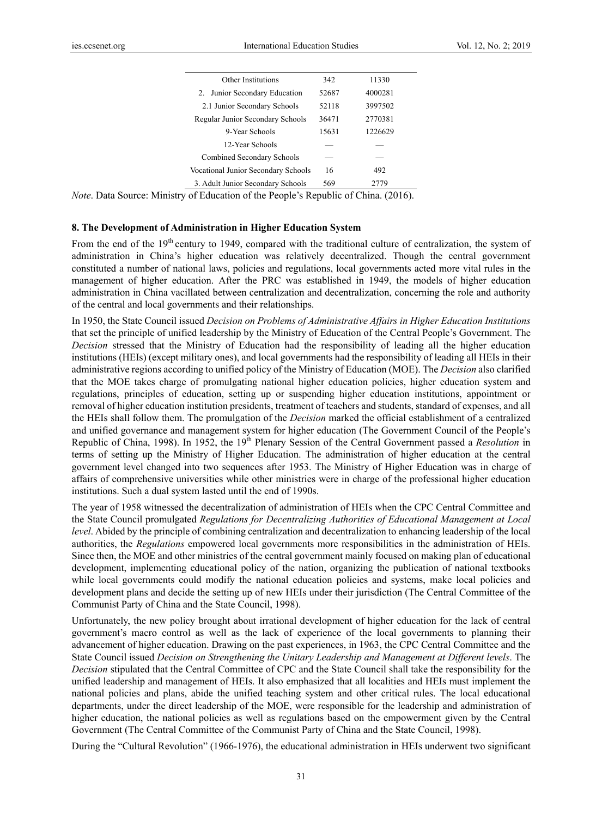| <b>Other Institutions</b>           | 342   | 11330   |
|-------------------------------------|-------|---------|
| Junior Secondary Education<br>2.    | 52687 | 4000281 |
| 2.1 Junior Secondary Schools        | 52118 | 3997502 |
| Regular Junior Secondary Schools    | 36471 | 2770381 |
| 9-Year Schools                      | 15631 | 1226629 |
| 12-Year Schools                     |       |         |
| Combined Secondary Schools          |       |         |
| Vocational Junior Secondary Schools | 16    | 492     |
| 3. Adult Junior Secondary Schools   | 569   | 2779    |

*Note*. Data Source: Ministry of Education of the People's Republic of China. (2016).

## **8. The Development of Administration in Higher Education System**

From the end of the 19<sup>th</sup> century to 1949, compared with the traditional culture of centralization, the system of administration in China's higher education was relatively decentralized. Though the central government constituted a number of national laws, policies and regulations, local governments acted more vital rules in the management of higher education. After the PRC was established in 1949, the models of higher education administration in China vacillated between centralization and decentralization, concerning the role and authority of the central and local governments and their relationships.

In 1950, the State Council issued *Decision on Problems of Administrative Affairs in Higher Education Institutions* that set the principle of unified leadership by the Ministry of Education of the Central People's Government. The *Decision* stressed that the Ministry of Education had the responsibility of leading all the higher education institutions (HEIs) (except military ones), and local governments had the responsibility of leading all HEIs in their administrative regions according to unified policy of the Ministry of Education (MOE). The *Decision* also clarified that the MOE takes charge of promulgating national higher education policies, higher education system and regulations, principles of education, setting up or suspending higher education institutions, appointment or removal of higher education institution presidents, treatment of teachers and students, standard of expenses, and all the HEIs shall follow them. The promulgation of the *Decision* marked the official establishment of a centralized and unified governance and management system for higher education (The Government Council of the People's Republic of China, 1998). In 1952, the 19<sup>th</sup> Plenary Session of the Central Government passed a *Resolution* in terms of setting up the Ministry of Higher Education. The administration of higher education at the central government level changed into two sequences after 1953. The Ministry of Higher Education was in charge of affairs of comprehensive universities while other ministries were in charge of the professional higher education institutions. Such a dual system lasted until the end of 1990s.

The year of 1958 witnessed the decentralization of administration of HEIs when the CPC Central Committee and the State Council promulgated *Regulations for Decentralizing Authorities of Educational Management at Local level*. Abided by the principle of combining centralization and decentralization to enhancing leadership of the local authorities, the *Regulations* empowered local governments more responsibilities in the administration of HEIs. Since then, the MOE and other ministries of the central government mainly focused on making plan of educational development, implementing educational policy of the nation, organizing the publication of national textbooks while local governments could modify the national education policies and systems, make local policies and development plans and decide the setting up of new HEIs under their jurisdiction (The Central Committee of the Communist Party of China and the State Council, 1998).

Unfortunately, the new policy brought about irrational development of higher education for the lack of central government's macro control as well as the lack of experience of the local governments to planning their advancement of higher education. Drawing on the past experiences, in 1963, the CPC Central Committee and the State Council issued *Decision on Strengthening the Unitary Leadership and Management at Different levels*. The *Decision* stipulated that the Central Committee of CPC and the State Council shall take the responsibility for the unified leadership and management of HEIs. It also emphasized that all localities and HEIs must implement the national policies and plans, abide the unified teaching system and other critical rules. The local educational departments, under the direct leadership of the MOE, were responsible for the leadership and administration of higher education, the national policies as well as regulations based on the empowerment given by the Central Government (The Central Committee of the Communist Party of China and the State Council, 1998).

During the "Cultural Revolution" (1966-1976), the educational administration in HEIs underwent two significant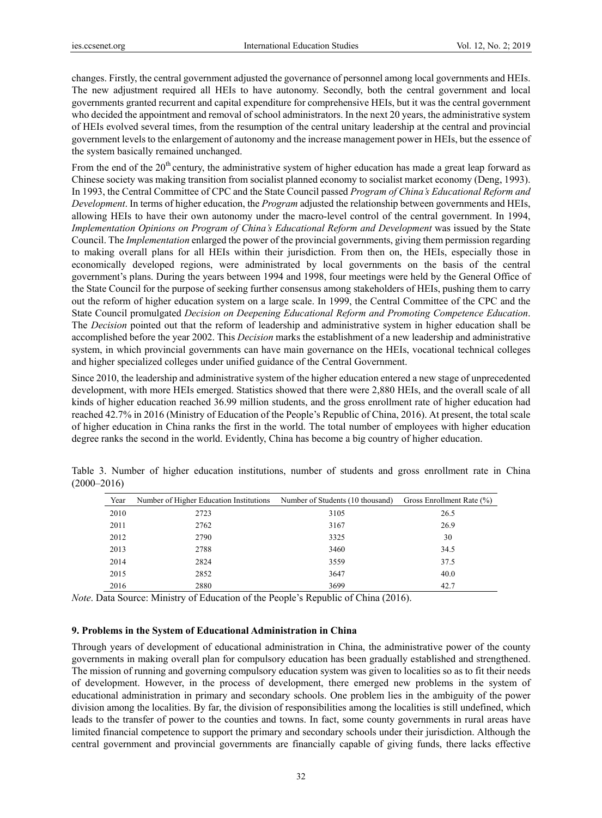changes. Firstly, the central government adjusted the governance of personnel among local governments and HEIs. The new adjustment required all HEIs to have autonomy. Secondly, both the central government and local governments granted recurrent and capital expenditure for comprehensive HEIs, but it was the central government who decided the appointment and removal of school administrators. In the next 20 years, the administrative system of HEIs evolved several times, from the resumption of the central unitary leadership at the central and provincial government levels to the enlargement of autonomy and the increase management power in HEIs, but the essence of the system basically remained unchanged.

From the end of the  $20<sup>th</sup>$  century, the administrative system of higher education has made a great leap forward as Chinese society was making transition from socialist planned economy to socialist market economy (Deng, 1993). In 1993, the Central Committee of CPC and the State Council passed *Program of China's Educational Reform and Development*. In terms of higher education, the *Program* adjusted the relationship between governments and HEIs, allowing HEIs to have their own autonomy under the macro-level control of the central government. In 1994, *Implementation Opinions on Program of China's Educational Reform and Development* was issued by the State Council. The *Implementation* enlarged the power of the provincial governments, giving them permission regarding to making overall plans for all HEIs within their jurisdiction. From then on, the HEIs, especially those in economically developed regions, were administrated by local governments on the basis of the central government's plans. During the years between 1994 and 1998, four meetings were held by the General Office of the State Council for the purpose of seeking further consensus among stakeholders of HEIs, pushing them to carry out the reform of higher education system on a large scale. In 1999, the Central Committee of the CPC and the State Council promulgated *Decision on Deepening Educational Reform and Promoting Competence Education*. The *Decision* pointed out that the reform of leadership and administrative system in higher education shall be accomplished before the year 2002. This *Decision* marks the establishment of a new leadership and administrative system, in which provincial governments can have main governance on the HEIs, vocational technical colleges and higher specialized colleges under unified guidance of the Central Government.

Since 2010, the leadership and administrative system of the higher education entered a new stage of unprecedented development, with more HEIs emerged. Statistics showed that there were 2,880 HEIs, and the overall scale of all kinds of higher education reached 36.99 million students, and the gross enrollment rate of higher education had reached 42.7% in 2016 (Ministry of Education of the People's Republic of China, 2016). At present, the total scale of higher education in China ranks the first in the world. The total number of employees with higher education degree ranks the second in the world. Evidently, China has become a big country of higher education.

| Year | Number of Higher Education Institutions | Number of Students (10 thousand) | Gross Enrollment Rate (%) |
|------|-----------------------------------------|----------------------------------|---------------------------|
| 2010 | 2723                                    | 3105                             | 26.5                      |
| 2011 | 2762                                    | 3167                             | 26.9                      |
| 2012 | 2790                                    | 3325                             | 30                        |
| 2013 | 2788                                    | 3460                             | 34.5                      |
| 2014 | 2824                                    | 3559                             | 37.5                      |
| 2015 | 2852                                    | 3647                             | 40.0                      |
| 2016 | 2880                                    | 3699                             | 42.7                      |

Table 3. Number of higher education institutions, number of students and gross enrollment rate in China (2000–2016)

*Note*. Data Source: Ministry of Education of the People's Republic of China (2016).

## **9. Problems in the System of Educational Administration in China**

Through years of development of educational administration in China, the administrative power of the county governments in making overall plan for compulsory education has been gradually established and strengthened. The mission of running and governing compulsory education system was given to localities so as to fit their needs of development. However, in the process of development, there emerged new problems in the system of educational administration in primary and secondary schools. One problem lies in the ambiguity of the power division among the localities. By far, the division of responsibilities among the localities is still undefined, which leads to the transfer of power to the counties and towns. In fact, some county governments in rural areas have limited financial competence to support the primary and secondary schools under their jurisdiction. Although the central government and provincial governments are financially capable of giving funds, there lacks effective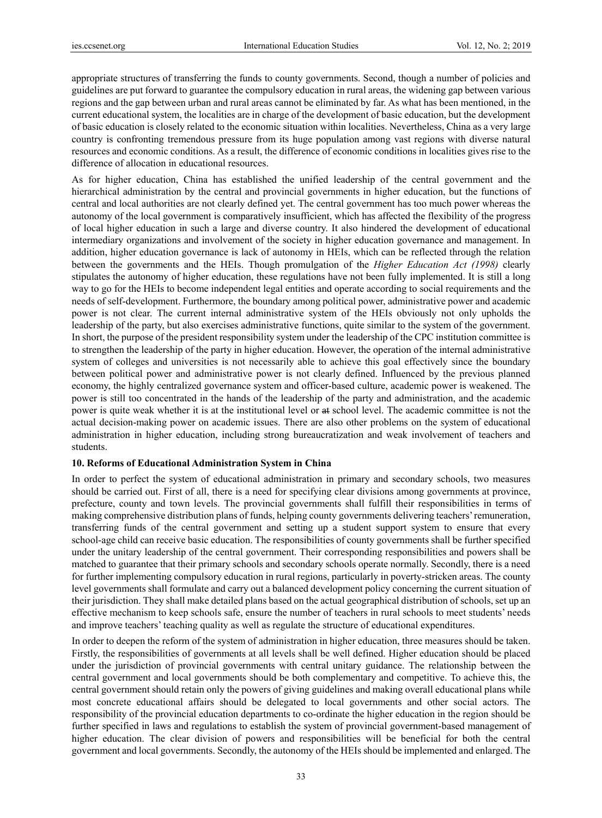appropriate structures of transferring the funds to county governments. Second, though a number of policies and guidelines are put forward to guarantee the compulsory education in rural areas, the widening gap between various regions and the gap between urban and rural areas cannot be eliminated by far. As what has been mentioned, in the current educational system, the localities are in charge of the development of basic education, but the development of basic education is closely related to the economic situation within localities. Nevertheless, China as a very large country is confronting tremendous pressure from its huge population among vast regions with diverse natural resources and economic conditions. As a result, the difference of economic conditions in localities gives rise to the difference of allocation in educational resources.

As for higher education, China has established the unified leadership of the central government and the hierarchical administration by the central and provincial governments in higher education, but the functions of central and local authorities are not clearly defined yet. The central government has too much power whereas the autonomy of the local government is comparatively insufficient, which has affected the flexibility of the progress of local higher education in such a large and diverse country. It also hindered the development of educational intermediary organizations and involvement of the society in higher education governance and management. In addition, higher education governance is lack of autonomy in HEIs, which can be reflected through the relation between the governments and the HEIs. Though promulgation of the *Higher Education Act (1998)* clearly stipulates the autonomy of higher education, these regulations have not been fully implemented. It is still a long way to go for the HEIs to become independent legal entities and operate according to social requirements and the needs of self-development. Furthermore, the boundary among political power, administrative power and academic power is not clear. The current internal administrative system of the HEIs obviously not only upholds the leadership of the party, but also exercises administrative functions, quite similar to the system of the government. In short, the purpose of the president responsibility system under the leadership of the CPC institution committee is to strengthen the leadership of the party in higher education. However, the operation of the internal administrative system of colleges and universities is not necessarily able to achieve this goal effectively since the boundary between political power and administrative power is not clearly defined. Influenced by the previous planned economy, the highly centralized governance system and officer-based culture, academic power is weakened. The power is still too concentrated in the hands of the leadership of the party and administration, and the academic power is quite weak whether it is at the institutional level or at school level. The academic committee is not the actual decision-making power on academic issues. There are also other problems on the system of educational administration in higher education, including strong bureaucratization and weak involvement of teachers and students.

#### **10. Reforms of Educational Administration System in China**

In order to perfect the system of educational administration in primary and secondary schools, two measures should be carried out. First of all, there is a need for specifying clear divisions among governments at province, prefecture, county and town levels. The provincial governments shall fulfill their responsibilities in terms of making comprehensive distribution plans of funds, helping county governments delivering teachers' remuneration, transferring funds of the central government and setting up a student support system to ensure that every school-age child can receive basic education. The responsibilities of county governments shall be further specified under the unitary leadership of the central government. Their corresponding responsibilities and powers shall be matched to guarantee that their primary schools and secondary schools operate normally. Secondly, there is a need for further implementing compulsory education in rural regions, particularly in poverty-stricken areas. The county level governments shall formulate and carry out a balanced development policy concerning the current situation of their jurisdiction. They shall make detailed plans based on the actual geographical distribution of schools, set up an effective mechanism to keep schools safe, ensure the number of teachers in rural schools to meet students' needs and improve teachers' teaching quality as well as regulate the structure of educational expenditures.

In order to deepen the reform of the system of administration in higher education, three measures should be taken. Firstly, the responsibilities of governments at all levels shall be well defined. Higher education should be placed under the jurisdiction of provincial governments with central unitary guidance. The relationship between the central government and local governments should be both complementary and competitive. To achieve this, the central government should retain only the powers of giving guidelines and making overall educational plans while most concrete educational affairs should be delegated to local governments and other social actors. The responsibility of the provincial education departments to co-ordinate the higher education in the region should be further specified in laws and regulations to establish the system of provincial government-based management of higher education. The clear division of powers and responsibilities will be beneficial for both the central government and local governments. Secondly, the autonomy of the HEIs should be implemented and enlarged. The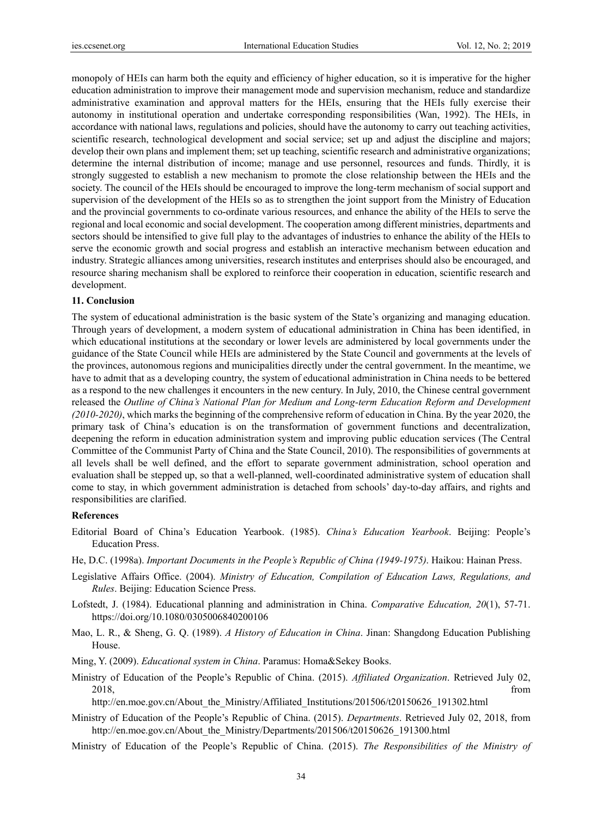monopoly of HEIs can harm both the equity and efficiency of higher education, so it is imperative for the higher education administration to improve their management mode and supervision mechanism, reduce and standardize administrative examination and approval matters for the HEIs, ensuring that the HEIs fully exercise their autonomy in institutional operation and undertake corresponding responsibilities (Wan, 1992). The HEIs, in accordance with national laws, regulations and policies, should have the autonomy to carry out teaching activities, scientific research, technological development and social service; set up and adjust the discipline and majors; develop their own plans and implement them; set up teaching, scientific research and administrative organizations; determine the internal distribution of income; manage and use personnel, resources and funds. Thirdly, it is strongly suggested to establish a new mechanism to promote the close relationship between the HEIs and the society. The council of the HEIs should be encouraged to improve the long-term mechanism of social support and supervision of the development of the HEIs so as to strengthen the joint support from the Ministry of Education and the provincial governments to co-ordinate various resources, and enhance the ability of the HEIs to serve the regional and local economic and social development. The cooperation among different ministries, departments and sectors should be intensified to give full play to the advantages of industries to enhance the ability of the HEIs to serve the economic growth and social progress and establish an interactive mechanism between education and industry. Strategic alliances among universities, research institutes and enterprises should also be encouraged, and resource sharing mechanism shall be explored to reinforce their cooperation in education, scientific research and development.

#### **11. Conclusion**

The system of educational administration is the basic system of the State's organizing and managing education. Through years of development, a modern system of educational administration in China has been identified, in which educational institutions at the secondary or lower levels are administered by local governments under the guidance of the State Council while HEIs are administered by the State Council and governments at the levels of the provinces, autonomous regions and municipalities directly under the central government. In the meantime, we have to admit that as a developing country, the system of educational administration in China needs to be bettered as a respond to the new challenges it encounters in the new century. In July, 2010, the Chinese central government released the *Outline of China's National Plan for Medium and Long-term Education Reform and Development (2010-2020)*, which marks the beginning of the comprehensive reform of education in China. By the year 2020, the primary task of China's education is on the transformation of government functions and decentralization, deepening the reform in education administration system and improving public education services (The Central Committee of the Communist Party of China and the State Council, 2010). The responsibilities of governments at all levels shall be well defined, and the effort to separate government administration, school operation and evaluation shall be stepped up, so that a well-planned, well-coordinated administrative system of education shall come to stay, in which government administration is detached from schools' day-to-day affairs, and rights and responsibilities are clarified.

#### **References**

- Editorial Board of China's Education Yearbook. (1985). *China's Education Yearbook*. Beijing: People's Education Press.
- He, D.C. (1998a). *Important Documents in the People's Republic of China (1949-1975)*. Haikou: Hainan Press.
- Legislative Affairs Office. (2004). *Ministry of Education, Compilation of Education Laws, Regulations, and Rules*. Beijing: Education Science Press.
- Lofstedt, J. (1984). Educational planning and administration in China. *Comparative Education, 20*(1), 57-71. https://doi.org/10.1080/0305006840200106
- Mao, L. R., & Sheng, G. Q. (1989). *A History of Education in China*. Jinan: Shangdong Education Publishing House.
- Ming, Y. (2009). *Educational system in China*. Paramus: Homa&Sekey Books.
- Ministry of Education of the People's Republic of China. (2015). *Affiliated Organization*. Retrieved July 02, 2018, from the contract of the contract of the contract of the contract of the contract of the contract of the contract of the contract of the contract of the contract of the contract of the contract of the contract of the

http://en.moe.gov.cn/About\_the\_Ministry/Affiliated\_Institutions/201506/t20150626\_191302.html

- Ministry of Education of the People's Republic of China. (2015). *Departments*. Retrieved July 02, 2018, from http://en.moe.gov.cn/About\_the\_Ministry/Departments/201506/t20150626\_191300.html
- Ministry of Education of the People's Republic of China. (2015). *The Responsibilities of the Ministry of*